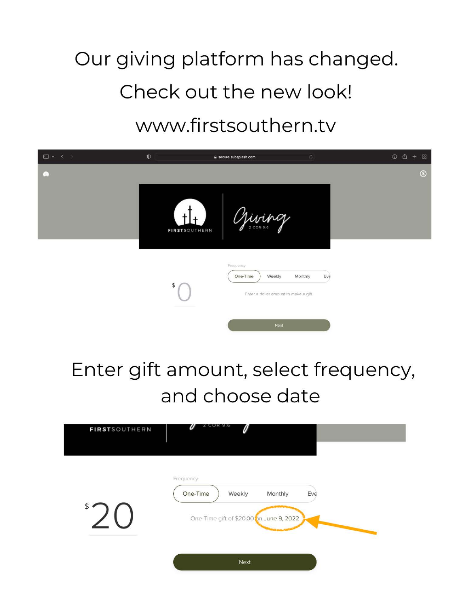# Our giving platform has changed. Check out the new look! www.firstsouthern.tv



### Enter gift amount, select frequency, and choose date

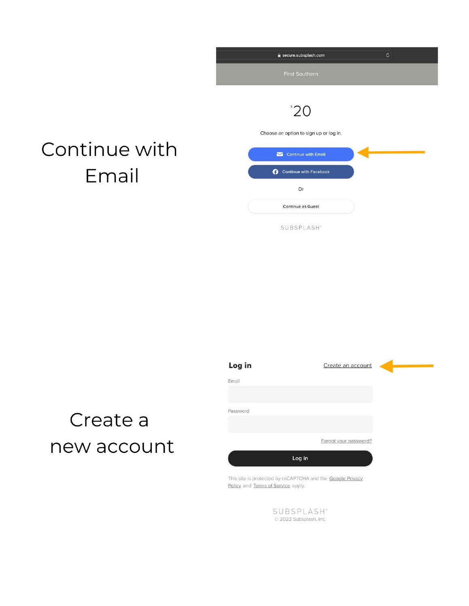| secure.subsplash.com                                   | $\mathfrak{S}$ |
|--------------------------------------------------------|----------------|
| First Southern                                         |                |
| $^{\circ}20$<br>Choose an option to sign up or log in. |                |
| Continue with Email                                    |                |
| Continue with Facebook<br>ø                            |                |
| Or                                                     |                |
| <b>Continue as Guest</b>                               |                |
| SUBSPLASH"                                             |                |

### Continue with Email

# Create a new account

| Log in   |        | Create an account     |  |
|----------|--------|-----------------------|--|
| Email    |        |                       |  |
|          |        |                       |  |
| Password |        |                       |  |
|          |        |                       |  |
|          |        | Forgot your password? |  |
|          | Log in |                       |  |

This site is protected by reCAPTCHA and the Google Privacy Policy and Terms of Service apply.

> SUBSPLASH<sup>®</sup> 2022 Subsplash, Inc.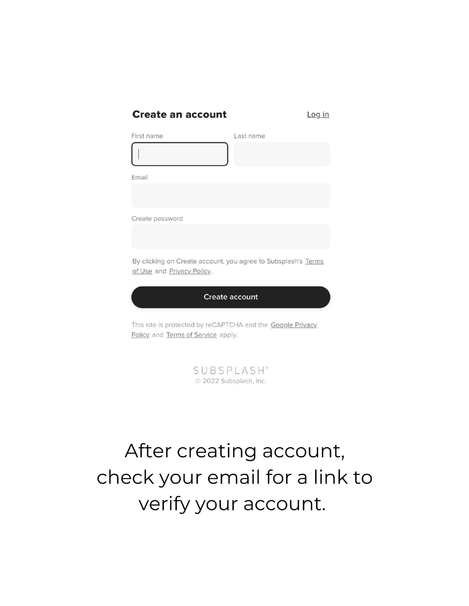#### **Create an account**

Log in

| First name                                                                                       | Last name             |
|--------------------------------------------------------------------------------------------------|-----------------------|
|                                                                                                  |                       |
| Email                                                                                            |                       |
|                                                                                                  |                       |
| Create password                                                                                  |                       |
|                                                                                                  |                       |
| By clicking on Create account, you agree to Subsplash's Terms<br>of Use and Privacy Policy.      |                       |
|                                                                                                  | <b>Create account</b> |
| This site is protected by reCAPTCHA and the Google Privacy<br>Policy and Terms of Service apply. |                       |



## After creating account, check your email for a link to verify your account.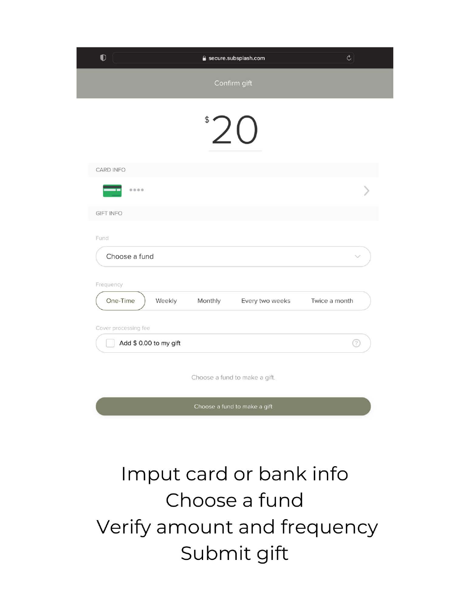| $\bullet$                       | secure.subsplash.com          | $\mathcal{C}$ |
|---------------------------------|-------------------------------|---------------|
|                                 | Confirm gift                  |               |
|                                 | $^{\circ}$ 20                 |               |
| CARD INFO                       |                               |               |
| 0000                            |                               |               |
| <b>GIFT INFO</b>                |                               |               |
| Fund<br>Choose a fund           |                               |               |
| Frequency<br>One-Time<br>Weekly | Monthly<br>Every two weeks    | Twice a month |
| Cover processing fee            |                               |               |
| Add \$ 0.00 to my gift          |                               | ?             |
|                                 | Choose a fund to make a gift. |               |
|                                 | Choose a fund to make a gift  |               |

## Imput card or bank info Choose a fund Verify amount and frequency Submit gift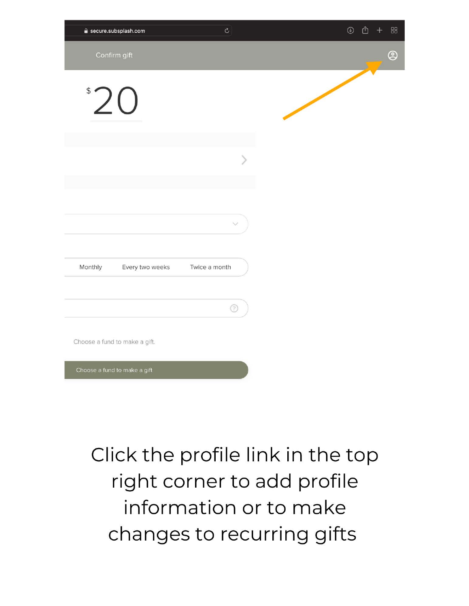| e secure.subsplash.com                      | $\circ$ | 88<br>$\odot$<br>rĥ |
|---------------------------------------------|---------|---------------------|
| Confirm gift                                |         | $\circledS$         |
| $^{\circ}20$                                |         |                     |
|                                             |         |                     |
|                                             |         |                     |
|                                             |         |                     |
|                                             |         |                     |
| Monthly<br>Every two weeks<br>Twice a month |         |                     |
|                                             | ⊚       |                     |
| Choose a fund to make a gift.               |         |                     |
| Choose a fund to make a gift                |         |                     |

### Click the profile link in the top right corner to add profile information or to make changes to recurring gifts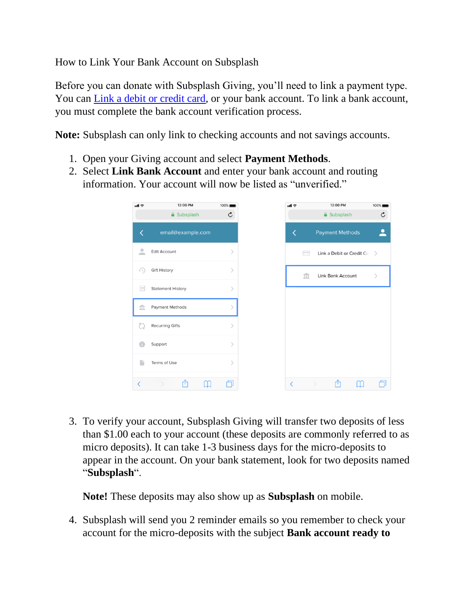How to Link Your Bank Account on Subsplash

Before you can donate with Subsplash Giving, you'll need to link a payment type. You can *Link a debit or credit card*, or your bank account. To link a bank account, you must complete the bank account verification process.

**Note:** Subsplash can only link to checking accounts and not savings accounts.

- 1. Open your Giving account and select **Payment Methods**.
- 2. Select **Link Bank Account** and enter your bank account and routing information. Your account will now be listed as "unverified."

| nll ङ                         | 12:00 PM                 | 100%                         |
|-------------------------------|--------------------------|------------------------------|
|                               | <b>△</b> Subsplash       | $\mathfrak{C}$               |
| ✓                             | email@example.com        |                              |
| ۰<br>$\overline{\phantom{a}}$ | <b>Edit Account</b>      | $\,>\,$                      |
| €                             | <b>Gift History</b>      | $\mathcal{P}$                |
| $\equiv$                      | <b>Statement History</b> | $\left\langle \right\rangle$ |
| îÌ                            | Payment Methods          |                              |
|                               | <b>Recurring Gifts</b>   | $\mathcal{P}$                |
|                               | Support                  | $\mathcal{P}$                |
|                               | Terms of Use             | $\mathcal{P}$                |
| ✓                             | rħ                       |                              |

3. To verify your account, Subsplash Giving will transfer two deposits of less than \$1.00 each to your account (these deposits are commonly referred to as micro deposits). It can take 1-3 business days for the micro-deposits to appear in the account. On your bank statement, look for two deposits named "**Subsplash**".

**Note!** These deposits may also show up as **Subsplash** on mobile.

4. Subsplash will send you 2 reminder emails so you remember to check your account for the micro-deposits with the subject **Bank account ready to**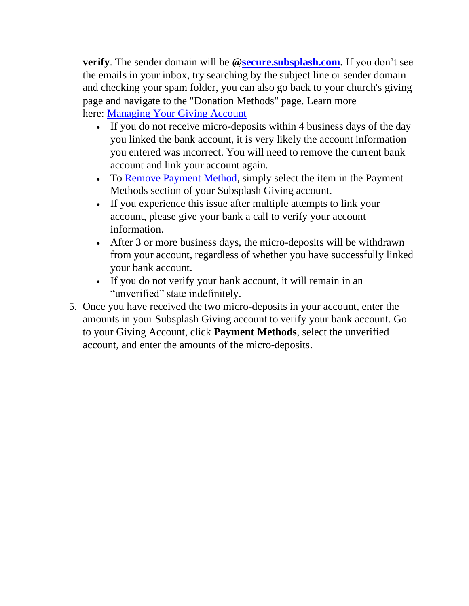**verify**. The sender domain will be **[@secure.subsplash.com.](http://secure.subsplash.com/)** If you don't see the emails in your inbox, try searching by the subject line or sender domain and checking your spam folder, you can also go back to your church's giving page and navigate to the "Donation Methods" page. Learn more here: [Managing Your Giving Account](https://support.subsplash.com/s/article/Managing-Your-Giving-Account)

- If you do not receive micro-deposits within 4 business days of the day you linked the bank account, it is very likely the account information you entered was incorrect. You will need to remove the current bank account and link your account again.
- To [Remove Payment Method,](https://support.subsplash.com/s/article/Remove-Payment-Method) simply select the item in the Payment Methods section of your Subsplash Giving account.
- If you experience this issue after multiple attempts to link your account, please give your bank a call to verify your account information.
- After 3 or more business days, the micro-deposits will be withdrawn from your account, regardless of whether you have successfully linked your bank account.
- If you do not verify your bank account, it will remain in an "unverified" state indefinitely.
- 5. Once you have received the two micro-deposits in your account, enter the amounts in your Subsplash Giving account to verify your bank account. Go to your Giving Account, click **Payment Methods**, select the unverified account, and enter the amounts of the micro-deposits.